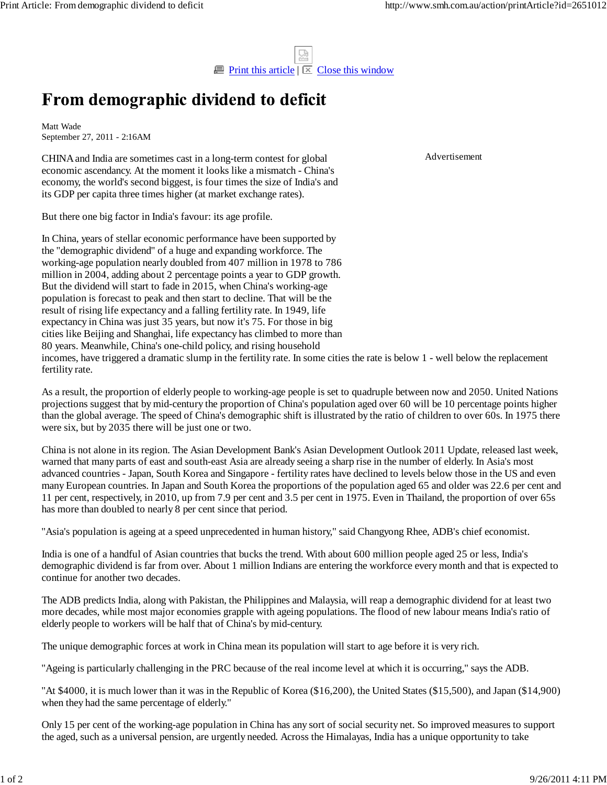$\Box$  Print this article  $\Box$  Close this window

## From demographic dividend to deficit

Matt Wade September 27, 2011 - 2:16AM

CHINA and India are sometimes cast in a long-term contest for global economic ascendancy. At the moment it looks like a mismatch - China's economy, the world's second biggest, is four times the size of India's and its GDP per capita three times higher (at market exchange rates).

But there one big factor in India's favour: its age profile.

In China, years of stellar economic performance have been supported by the ''demographic dividend'' of a huge and expanding workforce. The working-age population nearly doubled from 407 million in 1978 to 786 million in 2004, adding about 2 percentage points a year to GDP growth. But the dividend will start to fade in 2015, when China's working-age population is forecast to peak and then start to decline. That will be the result of rising life expectancy and a falling fertility rate. In 1949, life expectancy in China was just 35 years, but now it's 75. For those in big cities like Beijing and Shanghai, life expectancy has climbed to more than 80 years. Meanwhile, China's one-child policy, and rising household incomes, have triggered a dramatic slump in the fertility rate. In some cities the rate is below 1 - well below the replacement fertility rate.

As a result, the proportion of elderly people to working-age people is set to quadruple between now and 2050. United Nations projections suggest that by mid-century the proportion of China's population aged over 60 will be 10 percentage points higher than the global average. The speed of China's demographic shift is illustrated by the ratio of children to over 60s. In 1975 there were six, but by 2035 there will be just one or two.

China is not alone in its region. The Asian Development Bank's Asian Development Outlook 2011 Update, released last week, warned that many parts of east and south-east Asia are already seeing a sharp rise in the number of elderly. In Asia's most advanced countries - Japan, South Korea and Singapore - fertility rates have declined to levels below those in the US and even many European countries. In Japan and South Korea the proportions of the population aged 65 and older was 22.6 per cent and 11 per cent, respectively, in 2010, up from 7.9 per cent and 3.5 per cent in 1975. Even in Thailand, the proportion of over 65s has more than doubled to nearly 8 per cent since that period.

''Asia's population is ageing at a speed unprecedented in human history,'' said Changyong Rhee, ADB's chief economist.

India is one of a handful of Asian countries that bucks the trend. With about 600 million people aged 25 or less, India's demographic dividend is far from over. About 1 million Indians are entering the workforce every month and that is expected to continue for another two decades.

The ADB predicts India, along with Pakistan, the Philippines and Malaysia, will reap a demographic dividend for at least two more decades, while most major economies grapple with ageing populations. The flood of new labour means India's ratio of elderly people to workers will be half that of China's by mid-century.

The unique demographic forces at work in China mean its population will start to age before it is very rich.

''Ageing is particularly challenging in the PRC because of the real income level at which it is occurring,'' says the ADB.

''At \$4000, it is much lower than it was in the Republic of Korea (\$16,200), the United States (\$15,500), and Japan (\$14,900) when they had the same percentage of elderly.''

Only 15 per cent of the working-age population in China has any sort of social security net. So improved measures to support the aged, such as a universal pension, are urgently needed. Across the Himalayas, India has a unique opportunity to take

Advertisement